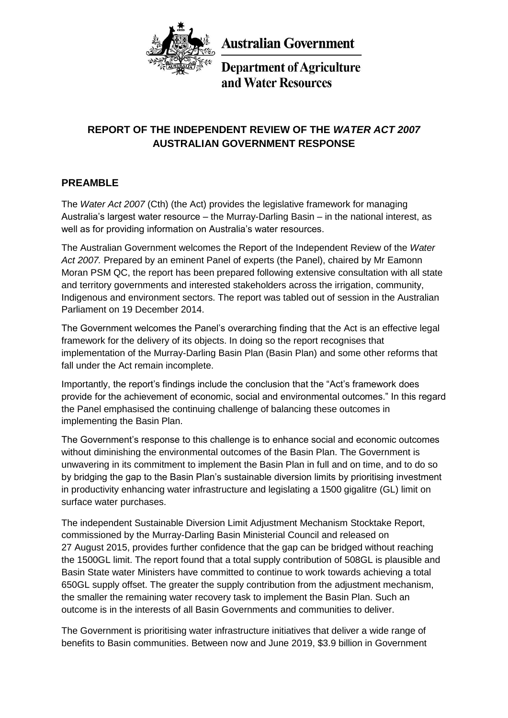

**Australian Government** 

**Department of Agriculture** and Water Resources

# **REPORT OF THE INDEPENDENT REVIEW OF THE** *WATER ACT 2007* **AUSTRALIAN GOVERNMENT RESPONSE**

# **PREAMBLE**

The *Water Act 2007* (Cth) (the Act) provides the legislative framework for managing Australia's largest water resource – the Murray-Darling Basin – in the national interest, as well as for providing information on Australia's water resources.

The Australian Government welcomes the Report of the Independent Review of the *Water Act 2007.* Prepared by an eminent Panel of experts (the Panel), chaired by Mr Eamonn Moran PSM QC, the report has been prepared following extensive consultation with all state and territory governments and interested stakeholders across the irrigation, community, Indigenous and environment sectors. The report was tabled out of session in the Australian Parliament on 19 December 2014.

The Government welcomes the Panel's overarching finding that the Act is an effective legal framework for the delivery of its objects. In doing so the report recognises that implementation of the Murray-Darling Basin Plan (Basin Plan) and some other reforms that fall under the Act remain incomplete.

Importantly, the report's findings include the conclusion that the "Act's framework does provide for the achievement of economic, social and environmental outcomes." In this regard the Panel emphasised the continuing challenge of balancing these outcomes in implementing the Basin Plan.

The Government's response to this challenge is to enhance social and economic outcomes without diminishing the environmental outcomes of the Basin Plan. The Government is unwavering in its commitment to implement the Basin Plan in full and on time, and to do so by bridging the gap to the Basin Plan's sustainable diversion limits by prioritising investment in productivity enhancing water infrastructure and legislating a 1500 gigalitre (GL) limit on surface water purchases.

The independent Sustainable Diversion Limit Adjustment Mechanism Stocktake Report, commissioned by the Murray-Darling Basin Ministerial Council and released on 27 August 2015, provides further confidence that the gap can be bridged without reaching the 1500GL limit. The report found that a total supply contribution of 508GL is plausible and Basin State water Ministers have committed to continue to work towards achieving a total 650GL supply offset. The greater the supply contribution from the adjustment mechanism, the smaller the remaining water recovery task to implement the Basin Plan. Such an outcome is in the interests of all Basin Governments and communities to deliver.

The Government is prioritising water infrastructure initiatives that deliver a wide range of benefits to Basin communities. Between now and June 2019, \$3.9 billion in Government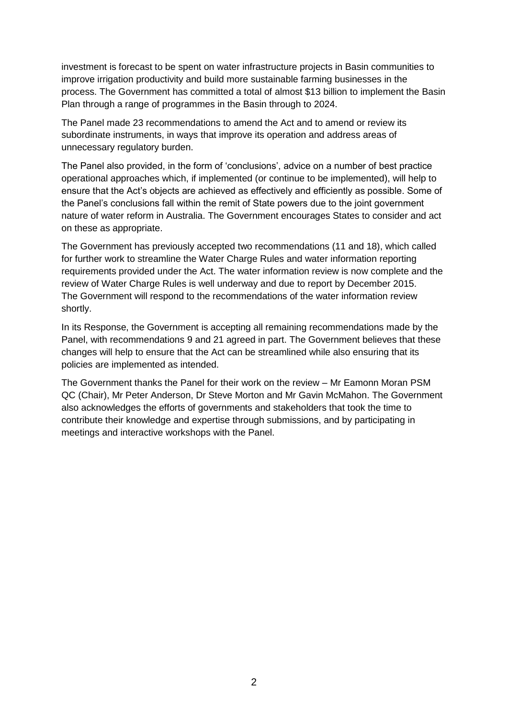investment is forecast to be spent on water infrastructure projects in Basin communities to improve irrigation productivity and build more sustainable farming businesses in the process. The Government has committed a total of almost \$13 billion to implement the Basin Plan through a range of programmes in the Basin through to 2024.

The Panel made 23 recommendations to amend the Act and to amend or review its subordinate instruments, in ways that improve its operation and address areas of unnecessary regulatory burden.

The Panel also provided, in the form of 'conclusions', advice on a number of best practice operational approaches which, if implemented (or continue to be implemented), will help to ensure that the Act's objects are achieved as effectively and efficiently as possible. Some of the Panel's conclusions fall within the remit of State powers due to the joint government nature of water reform in Australia. The Government encourages States to consider and act on these as appropriate.

The Government has previously accepted two recommendations (11 and 18), which called for further work to streamline the Water Charge Rules and water information reporting requirements provided under the Act. The water information review is now complete and the review of Water Charge Rules is well underway and due to report by December 2015. The Government will respond to the recommendations of the water information review shortly.

In its Response, the Government is accepting all remaining recommendations made by the Panel, with recommendations 9 and 21 agreed in part. The Government believes that these changes will help to ensure that the Act can be streamlined while also ensuring that its policies are implemented as intended.

The Government thanks the Panel for their work on the review – Mr Eamonn Moran PSM QC (Chair), Mr Peter Anderson, Dr Steve Morton and Mr Gavin McMahon. The Government also acknowledges the efforts of governments and stakeholders that took the time to contribute their knowledge and expertise through submissions, and by participating in meetings and interactive workshops with the Panel.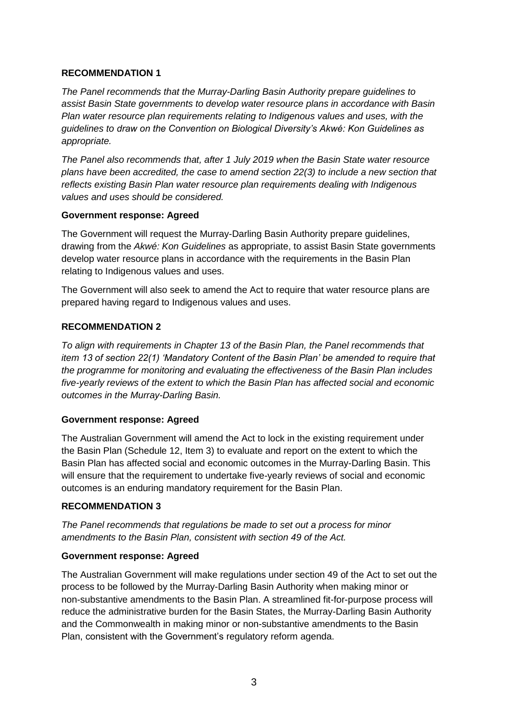### **RECOMMENDATION 1**

*The Panel recommends that the Murray-Darling Basin Authority prepare guidelines to assist Basin State governments to develop water resource plans in accordance with Basin Plan water resource plan requirements relating to Indigenous values and uses, with the guidelines to draw on the Convention on Biological Diversity's Akwé: Kon Guidelines as appropriate.*

*The Panel also recommends that, after 1 July 2019 when the Basin State water resource plans have been accredited, the case to amend section 22(3) to include a new section that reflects existing Basin Plan water resource plan requirements dealing with Indigenous values and uses should be considered.*

### **Government response: Agreed**

The Government will request the Murray-Darling Basin Authority prepare guidelines, drawing from the *Akwé: Kon Guidelines* as appropriate, to assist Basin State governments develop water resource plans in accordance with the requirements in the Basin Plan relating to Indigenous values and uses.

The Government will also seek to amend the Act to require that water resource plans are prepared having regard to Indigenous values and uses.

## **RECOMMENDATION 2**

*To align with requirements in Chapter 13 of the Basin Plan, the Panel recommends that item 13 of section 22(1) 'Mandatory Content of the Basin Plan' be amended to require that the programme for monitoring and evaluating the effectiveness of the Basin Plan includes five-yearly reviews of the extent to which the Basin Plan has affected social and economic outcomes in the Murray-Darling Basin.*

# **Government response: Agreed**

The Australian Government will amend the Act to lock in the existing requirement under the Basin Plan (Schedule 12, Item 3) to evaluate and report on the extent to which the Basin Plan has affected social and economic outcomes in the Murray-Darling Basin. This will ensure that the requirement to undertake five-yearly reviews of social and economic outcomes is an enduring mandatory requirement for the Basin Plan.

### **RECOMMENDATION 3**

*The Panel recommends that regulations be made to set out a process for minor amendments to the Basin Plan, consistent with section 49 of the Act.*

### **Government response: Agreed**

The Australian Government will make regulations under section 49 of the Act to set out the process to be followed by the Murray-Darling Basin Authority when making minor or non-substantive amendments to the Basin Plan. A streamlined fit-for-purpose process will reduce the administrative burden for the Basin States, the Murray-Darling Basin Authority and the Commonwealth in making minor or non-substantive amendments to the Basin Plan, consistent with the Government's regulatory reform agenda.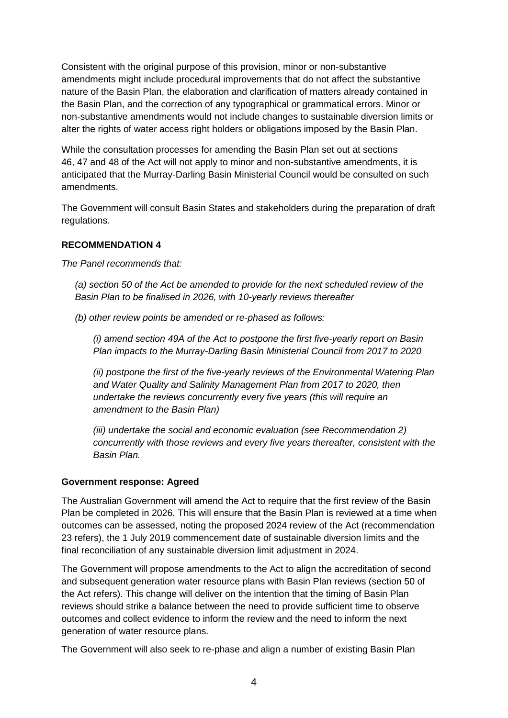Consistent with the original purpose of this provision, minor or non-substantive amendments might include procedural improvements that do not affect the substantive nature of the Basin Plan, the elaboration and clarification of matters already contained in the Basin Plan, and the correction of any typographical or grammatical errors. Minor or non-substantive amendments would not include changes to sustainable diversion limits or alter the rights of water access right holders or obligations imposed by the Basin Plan.

While the consultation processes for amending the Basin Plan set out at sections 46, 47 and 48 of the Act will not apply to minor and non-substantive amendments, it is anticipated that the Murray-Darling Basin Ministerial Council would be consulted on such amendments.

The Government will consult Basin States and stakeholders during the preparation of draft regulations.

## **RECOMMENDATION 4**

*The Panel recommends that:*

*(a) section 50 of the Act be amended to provide for the next scheduled review of the Basin Plan to be finalised in 2026, with 10-yearly reviews thereafter*

*(b) other review points be amended or re-phased as follows:*

*(i) amend section 49A of the Act to postpone the first five-yearly report on Basin Plan impacts to the Murray-Darling Basin Ministerial Council from 2017 to 2020*

*(ii) postpone the first of the five-yearly reviews of the Environmental Watering Plan and Water Quality and Salinity Management Plan from 2017 to 2020, then undertake the reviews concurrently every five years (this will require an amendment to the Basin Plan)*

*(iii) undertake the social and economic evaluation (see Recommendation 2) concurrently with those reviews and every five years thereafter, consistent with the Basin Plan.*

### **Government response: Agreed**

The Australian Government will amend the Act to require that the first review of the Basin Plan be completed in 2026. This will ensure that the Basin Plan is reviewed at a time when outcomes can be assessed, noting the proposed 2024 review of the Act (recommendation 23 refers), the 1 July 2019 commencement date of sustainable diversion limits and the final reconciliation of any sustainable diversion limit adjustment in 2024.

The Government will propose amendments to the Act to align the accreditation of second and subsequent generation water resource plans with Basin Plan reviews (section 50 of the Act refers). This change will deliver on the intention that the timing of Basin Plan reviews should strike a balance between the need to provide sufficient time to observe outcomes and collect evidence to inform the review and the need to inform the next generation of water resource plans.

The Government will also seek to re-phase and align a number of existing Basin Plan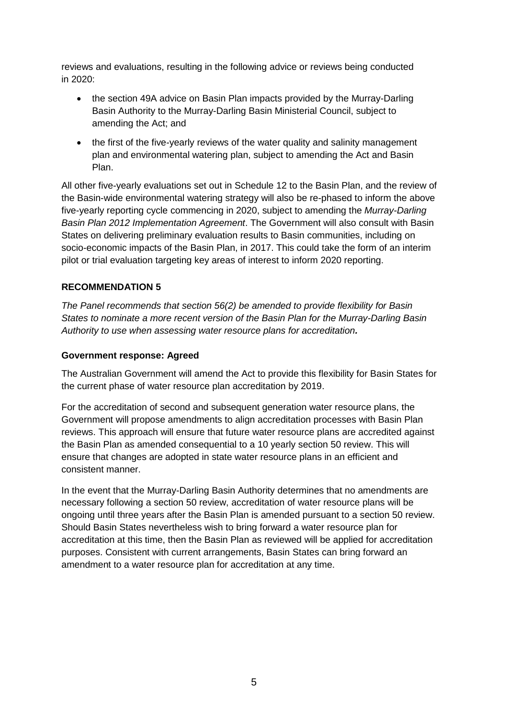reviews and evaluations, resulting in the following advice or reviews being conducted in 2020:

- the section 49A advice on Basin Plan impacts provided by the Murray-Darling Basin Authority to the Murray-Darling Basin Ministerial Council, subject to amending the Act; and
- the first of the five-yearly reviews of the water quality and salinity management plan and environmental watering plan, subject to amending the Act and Basin Plan.

All other five-yearly evaluations set out in Schedule 12 to the Basin Plan, and the review of the Basin-wide environmental watering strategy will also be re-phased to inform the above five-yearly reporting cycle commencing in 2020, subject to amending the *Murray-Darling Basin Plan 2012 Implementation Agreement*. The Government will also consult with Basin States on delivering preliminary evaluation results to Basin communities, including on socio-economic impacts of the Basin Plan, in 2017. This could take the form of an interim pilot or trial evaluation targeting key areas of interest to inform 2020 reporting.

## **RECOMMENDATION 5**

*The Panel recommends that section 56(2) be amended to provide flexibility for Basin States to nominate a more recent version of the Basin Plan for the Murray-Darling Basin Authority to use when assessing water resource plans for accreditation.*

### **Government response: Agreed**

The Australian Government will amend the Act to provide this flexibility for Basin States for the current phase of water resource plan accreditation by 2019.

For the accreditation of second and subsequent generation water resource plans, the Government will propose amendments to align accreditation processes with Basin Plan reviews. This approach will ensure that future water resource plans are accredited against the Basin Plan as amended consequential to a 10 yearly section 50 review. This will ensure that changes are adopted in state water resource plans in an efficient and consistent manner.

In the event that the Murray-Darling Basin Authority determines that no amendments are necessary following a section 50 review, accreditation of water resource plans will be ongoing until three years after the Basin Plan is amended pursuant to a section 50 review. Should Basin States nevertheless wish to bring forward a water resource plan for accreditation at this time, then the Basin Plan as reviewed will be applied for accreditation purposes. Consistent with current arrangements, Basin States can bring forward an amendment to a water resource plan for accreditation at any time.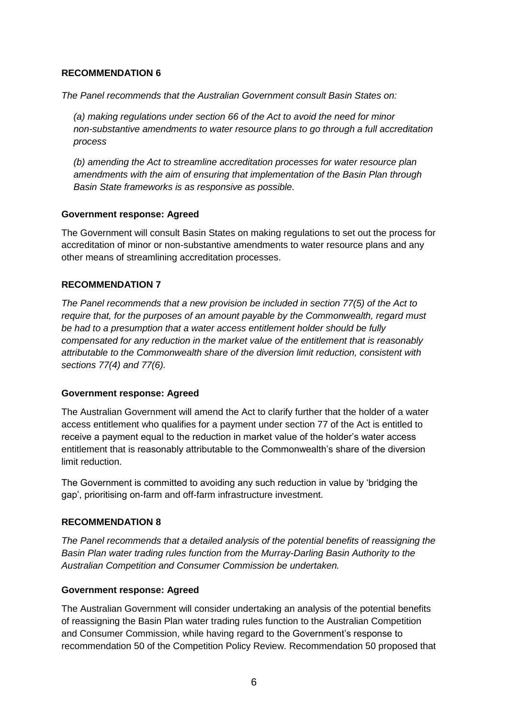### **RECOMMENDATION 6**

*The Panel recommends that the Australian Government consult Basin States on:*

*(a) making regulations under section 66 of the Act to avoid the need for minor non-substantive amendments to water resource plans to go through a full accreditation process*

*(b) amending the Act to streamline accreditation processes for water resource plan amendments with the aim of ensuring that implementation of the Basin Plan through Basin State frameworks is as responsive as possible.*

### **Government response: Agreed**

The Government will consult Basin States on making regulations to set out the process for accreditation of minor or non-substantive amendments to water resource plans and any other means of streamlining accreditation processes.

# **RECOMMENDATION 7**

*The Panel recommends that a new provision be included in section 77(5) of the Act to require that, for the purposes of an amount payable by the Commonwealth, regard must be had to a presumption that a water access entitlement holder should be fully compensated for any reduction in the market value of the entitlement that is reasonably attributable to the Commonwealth share of the diversion limit reduction, consistent with sections 77(4) and 77(6).*

### **Government response: Agreed**

The Australian Government will amend the Act to clarify further that the holder of a water access entitlement who qualifies for a payment under section 77 of the Act is entitled to receive a payment equal to the reduction in market value of the holder's water access entitlement that is reasonably attributable to the Commonwealth's share of the diversion limit reduction.

The Government is committed to avoiding any such reduction in value by 'bridging the gap', prioritising on-farm and off-farm infrastructure investment.

# **RECOMMENDATION 8**

*The Panel recommends that a detailed analysis of the potential benefits of reassigning the Basin Plan water trading rules function from the Murray-Darling Basin Authority to the Australian Competition and Consumer Commission be undertaken.*

# **Government response: Agreed**

The Australian Government will consider undertaking an analysis of the potential benefits of reassigning the Basin Plan water trading rules function to the Australian Competition and Consumer Commission, while having regard to the Government's response to recommendation 50 of the Competition Policy Review. Recommendation 50 proposed that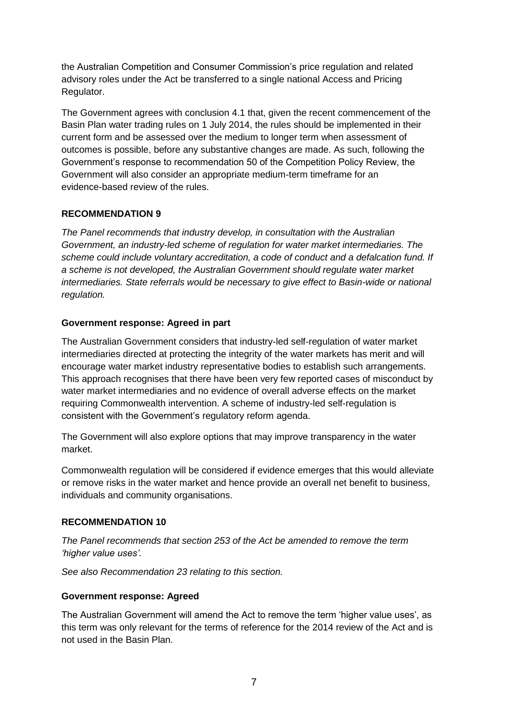the Australian Competition and Consumer Commission's price regulation and related advisory roles under the Act be transferred to a single national Access and Pricing Regulator.

The Government agrees with conclusion 4.1 that, given the recent commencement of the Basin Plan water trading rules on 1 July 2014, the rules should be implemented in their current form and be assessed over the medium to longer term when assessment of outcomes is possible, before any substantive changes are made. As such, following the Government's response to recommendation 50 of the Competition Policy Review, the Government will also consider an appropriate medium-term timeframe for an evidence-based review of the rules.

## **RECOMMENDATION 9**

*The Panel recommends that industry develop, in consultation with the Australian Government, an industry-led scheme of regulation for water market intermediaries. The scheme could include voluntary accreditation, a code of conduct and a defalcation fund. If a scheme is not developed, the Australian Government should regulate water market intermediaries. State referrals would be necessary to give effect to Basin-wide or national regulation.*

## **Government response: Agreed in part**

The Australian Government considers that industry-led self-regulation of water market intermediaries directed at protecting the integrity of the water markets has merit and will encourage water market industry representative bodies to establish such arrangements. This approach recognises that there have been very few reported cases of misconduct by water market intermediaries and no evidence of overall adverse effects on the market requiring Commonwealth intervention. A scheme of industry-led self-regulation is consistent with the Government's regulatory reform agenda.

The Government will also explore options that may improve transparency in the water market.

Commonwealth regulation will be considered if evidence emerges that this would alleviate or remove risks in the water market and hence provide an overall net benefit to business, individuals and community organisations.

# **RECOMMENDATION 10**

*The Panel recommends that section 253 of the Act be amended to remove the term 'higher value uses'.*

*See also Recommendation 23 relating to this section.*

### **Government response: Agreed**

The Australian Government will amend the Act to remove the term 'higher value uses', as this term was only relevant for the terms of reference for the 2014 review of the Act and is not used in the Basin Plan.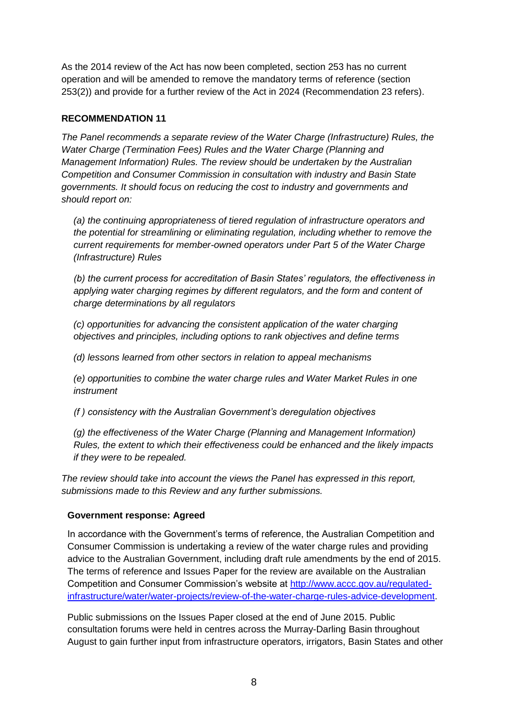As the 2014 review of the Act has now been completed, section 253 has no current operation and will be amended to remove the mandatory terms of reference (section 253(2)) and provide for a further review of the Act in 2024 (Recommendation 23 refers).

# **RECOMMENDATION 11**

*The Panel recommends a separate review of the Water Charge (Infrastructure) Rules, the Water Charge (Termination Fees) Rules and the Water Charge (Planning and Management Information) Rules. The review should be undertaken by the Australian Competition and Consumer Commission in consultation with industry and Basin State governments. It should focus on reducing the cost to industry and governments and should report on:*

*(a) the continuing appropriateness of tiered regulation of infrastructure operators and the potential for streamlining or eliminating regulation, including whether to remove the current requirements for member-owned operators under Part 5 of the Water Charge (Infrastructure) Rules*

*(b) the current process for accreditation of Basin States' regulators, the effectiveness in applying water charging regimes by different regulators, and the form and content of charge determinations by all regulators*

*(c) opportunities for advancing the consistent application of the water charging objectives and principles, including options to rank objectives and define terms*

*(d) lessons learned from other sectors in relation to appeal mechanisms*

*(e) opportunities to combine the water charge rules and Water Market Rules in one instrument*

*(f ) consistency with the Australian Government's deregulation objectives*

*(g) the effectiveness of the Water Charge (Planning and Management Information) Rules, the extent to which their effectiveness could be enhanced and the likely impacts if they were to be repealed.*

*The review should take into account the views the Panel has expressed in this report, submissions made to this Review and any further submissions.*

# **Government response: Agreed**

In accordance with the Government's terms of reference, the Australian Competition and Consumer Commission is undertaking a review of the water charge rules and providing advice to the Australian Government, including draft rule amendments by the end of 2015. The terms of reference and Issues Paper for the review are available on the Australian Competition and Consumer Commission's website at [http://www.accc.gov.au/regulated](http://www.accc.gov.au/regulated-infrastructure/water/water-projects/review-of-the-water-charge-rules-advice-development)[infrastructure/water/water-projects/review-of-the-water-charge-rules-advice-development.](http://www.accc.gov.au/regulated-infrastructure/water/water-projects/review-of-the-water-charge-rules-advice-development)

Public submissions on the Issues Paper closed at the end of June 2015. Public consultation forums were held in centres across the Murray-Darling Basin throughout August to gain further input from infrastructure operators, irrigators, Basin States and other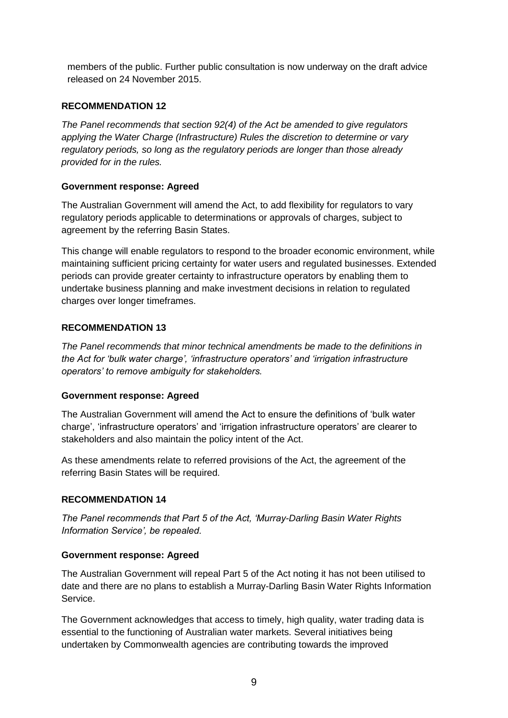members of the public. Further public consultation is now underway on the draft advice released on 24 November 2015.

# **RECOMMENDATION 12**

*The Panel recommends that section 92(4) of the Act be amended to give regulators applying the Water Charge (Infrastructure) Rules the discretion to determine or vary regulatory periods, so long as the regulatory periods are longer than those already provided for in the rules.*

## **Government response: Agreed**

The Australian Government will amend the Act, to add flexibility for regulators to vary regulatory periods applicable to determinations or approvals of charges, subject to agreement by the referring Basin States.

This change will enable regulators to respond to the broader economic environment, while maintaining sufficient pricing certainty for water users and regulated businesses. Extended periods can provide greater certainty to infrastructure operators by enabling them to undertake business planning and make investment decisions in relation to regulated charges over longer timeframes.

## **RECOMMENDATION 13**

*The Panel recommends that minor technical amendments be made to the definitions in the Act for 'bulk water charge', 'infrastructure operators' and 'irrigation infrastructure operators' to remove ambiguity for stakeholders.*

# **Government response: Agreed**

The Australian Government will amend the Act to ensure the definitions of 'bulk water charge', 'infrastructure operators' and 'irrigation infrastructure operators' are clearer to stakeholders and also maintain the policy intent of the Act.

As these amendments relate to referred provisions of the Act, the agreement of the referring Basin States will be required.

# **RECOMMENDATION 14**

*The Panel recommends that Part 5 of the Act, 'Murray-Darling Basin Water Rights Information Service', be repealed.*

### **Government response: Agreed**

The Australian Government will repeal Part 5 of the Act noting it has not been utilised to date and there are no plans to establish a Murray-Darling Basin Water Rights Information Service.

The Government acknowledges that access to timely, high quality, water trading data is essential to the functioning of Australian water markets. Several initiatives being undertaken by Commonwealth agencies are contributing towards the improved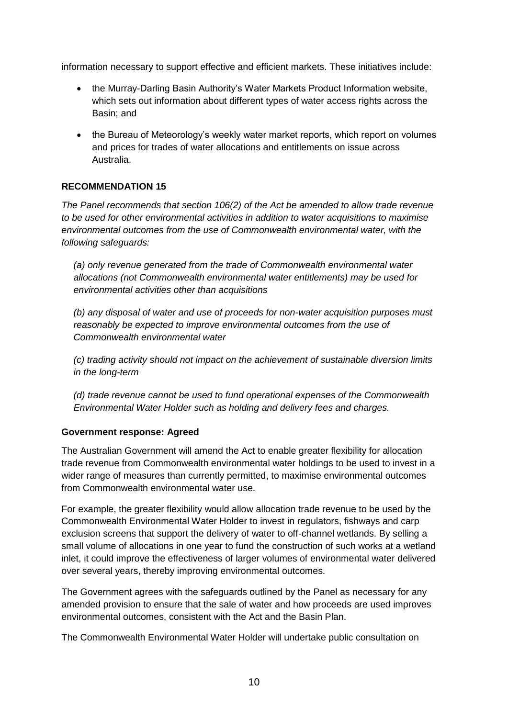information necessary to support effective and efficient markets. These initiatives include:

- the Murray-Darling Basin Authority's Water Markets Product Information website, which sets out information about different types of water access rights across the Basin; and
- the Bureau of Meteorology's weekly water market reports, which report on volumes and prices for trades of water allocations and entitlements on issue across Australia.

# **RECOMMENDATION 15**

*The Panel recommends that section 106(2) of the Act be amended to allow trade revenue to be used for other environmental activities in addition to water acquisitions to maximise environmental outcomes from the use of Commonwealth environmental water, with the following safeguards:*

*(a) only revenue generated from the trade of Commonwealth environmental water allocations (not Commonwealth environmental water entitlements) may be used for environmental activities other than acquisitions*

*(b) any disposal of water and use of proceeds for non-water acquisition purposes must reasonably be expected to improve environmental outcomes from the use of Commonwealth environmental water*

*(c) trading activity should not impact on the achievement of sustainable diversion limits in the long-term*

*(d) trade revenue cannot be used to fund operational expenses of the Commonwealth Environmental Water Holder such as holding and delivery fees and charges.*

### **Government response: Agreed**

The Australian Government will amend the Act to enable greater flexibility for allocation trade revenue from Commonwealth environmental water holdings to be used to invest in a wider range of measures than currently permitted, to maximise environmental outcomes from Commonwealth environmental water use.

For example, the greater flexibility would allow allocation trade revenue to be used by the Commonwealth Environmental Water Holder to invest in regulators, fishways and carp exclusion screens that support the delivery of water to off-channel wetlands. By selling a small volume of allocations in one year to fund the construction of such works at a wetland inlet, it could improve the effectiveness of larger volumes of environmental water delivered over several years, thereby improving environmental outcomes.

The Government agrees with the safeguards outlined by the Panel as necessary for any amended provision to ensure that the sale of water and how proceeds are used improves environmental outcomes, consistent with the Act and the Basin Plan.

The Commonwealth Environmental Water Holder will undertake public consultation on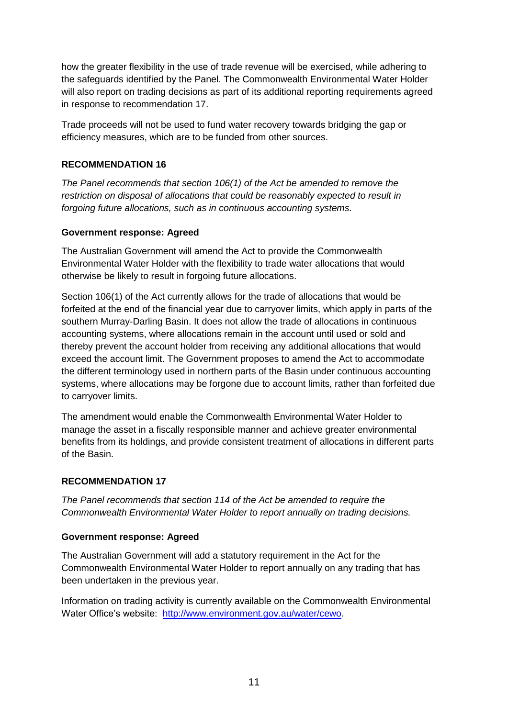how the greater flexibility in the use of trade revenue will be exercised, while adhering to the safeguards identified by the Panel. The Commonwealth Environmental Water Holder will also report on trading decisions as part of its additional reporting requirements agreed in response to recommendation 17.

Trade proceeds will not be used to fund water recovery towards bridging the gap or efficiency measures, which are to be funded from other sources.

# **RECOMMENDATION 16**

*The Panel recommends that section 106(1) of the Act be amended to remove the restriction on disposal of allocations that could be reasonably expected to result in forgoing future allocations, such as in continuous accounting systems.*

## **Government response: Agreed**

The Australian Government will amend the Act to provide the Commonwealth Environmental Water Holder with the flexibility to trade water allocations that would otherwise be likely to result in forgoing future allocations.

Section 106(1) of the Act currently allows for the trade of allocations that would be forfeited at the end of the financial year due to carryover limits, which apply in parts of the southern Murray-Darling Basin. It does not allow the trade of allocations in continuous accounting systems, where allocations remain in the account until used or sold and thereby prevent the account holder from receiving any additional allocations that would exceed the account limit. The Government proposes to amend the Act to accommodate the different terminology used in northern parts of the Basin under continuous accounting systems, where allocations may be forgone due to account limits, rather than forfeited due to carryover limits.

The amendment would enable the Commonwealth Environmental Water Holder to manage the asset in a fiscally responsible manner and achieve greater environmental benefits from its holdings, and provide consistent treatment of allocations in different parts of the Basin.

### **RECOMMENDATION 17**

*The Panel recommends that section 114 of the Act be amended to require the Commonwealth Environmental Water Holder to report annually on trading decisions.*

### **Government response: Agreed**

The Australian Government will add a statutory requirement in the Act for the Commonwealth Environmental Water Holder to report annually on any trading that has been undertaken in the previous year.

Information on trading activity is currently available on the Commonwealth Environmental Water Office's website: [http://www.environment.gov.au/water/cewo.](http://www.environment.gov.au/water/cewo)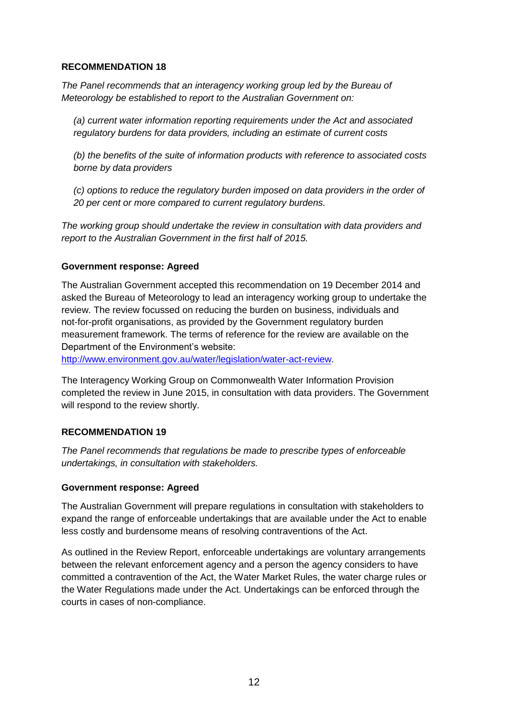## **RECOMMENDATION 18**

*The Panel recommends that an interagency working group led by the Bureau of Meteorology be established to report to the Australian Government on:*

*(a) current water information reporting requirements under the Act and associated regulatory burdens for data providers, including an estimate of current costs*

*(b) the benefits of the suite of information products with reference to associated costs borne by data providers*

*(c) options to reduce the regulatory burden imposed on data providers in the order of 20 per cent or more compared to current regulatory burdens.*

*The working group should undertake the review in consultation with data providers and report to the Australian Government in the first half of 2015.*

### **Government response: Agreed**

The Australian Government accepted this recommendation on 19 December 2014 and asked the Bureau of Meteorology to lead an interagency working group to undertake the review. The review focussed on reducing the burden on business, individuals and not-for-profit organisations, as provided by the Government regulatory burden measurement framework. The terms of reference for the review are available on the Department of the Environment's website:

[http://www.environment.gov.au/water/legislation/water-act-review.](http://www.environment.gov.au/water/legislation/water-act-review)

The Interagency Working Group on Commonwealth Water Information Provision completed the review in June 2015, in consultation with data providers. The Government will respond to the review shortly.

### **RECOMMENDATION 19**

*The Panel recommends that regulations be made to prescribe types of enforceable undertakings, in consultation with stakeholders.*

### **Government response: Agreed**

The Australian Government will prepare regulations in consultation with stakeholders to expand the range of enforceable undertakings that are available under the Act to enable less costly and burdensome means of resolving contraventions of the Act.

As outlined in the Review Report, enforceable undertakings are voluntary arrangements between the relevant enforcement agency and a person the agency considers to have committed a contravention of the Act, the Water Market Rules, the water charge rules or the Water Regulations made under the Act. Undertakings can be enforced through the courts in cases of non-compliance.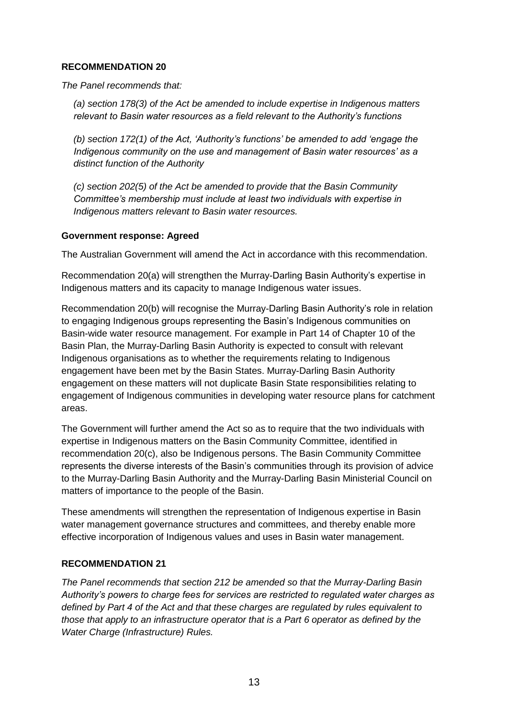## **RECOMMENDATION 20**

*The Panel recommends that:*

*(a) section 178(3) of the Act be amended to include expertise in Indigenous matters relevant to Basin water resources as a field relevant to the Authority's functions*

*(b) section 172(1) of the Act, 'Authority's functions' be amended to add 'engage the Indigenous community on the use and management of Basin water resources' as a distinct function of the Authority*

*(c) section 202(5) of the Act be amended to provide that the Basin Community Committee's membership must include at least two individuals with expertise in Indigenous matters relevant to Basin water resources.*

### **Government response: Agreed**

The Australian Government will amend the Act in accordance with this recommendation.

Recommendation 20(a) will strengthen the Murray-Darling Basin Authority's expertise in Indigenous matters and its capacity to manage Indigenous water issues.

Recommendation 20(b) will recognise the Murray-Darling Basin Authority's role in relation to engaging Indigenous groups representing the Basin's Indigenous communities on Basin-wide water resource management. For example in Part 14 of Chapter 10 of the Basin Plan, the Murray-Darling Basin Authority is expected to consult with relevant Indigenous organisations as to whether the requirements relating to Indigenous engagement have been met by the Basin States. Murray-Darling Basin Authority engagement on these matters will not duplicate Basin State responsibilities relating to engagement of Indigenous communities in developing water resource plans for catchment areas.

The Government will further amend the Act so as to require that the two individuals with expertise in Indigenous matters on the Basin Community Committee, identified in recommendation 20(c), also be Indigenous persons. The Basin Community Committee represents the diverse interests of the Basin's communities through its provision of advice to the Murray-Darling Basin Authority and the Murray-Darling Basin Ministerial Council on matters of importance to the people of the Basin.

These amendments will strengthen the representation of Indigenous expertise in Basin water management governance structures and committees, and thereby enable more effective incorporation of Indigenous values and uses in Basin water management.

# **RECOMMENDATION 21**

*The Panel recommends that section 212 be amended so that the Murray-Darling Basin Authority's powers to charge fees for services are restricted to regulated water charges as defined by Part 4 of the Act and that these charges are regulated by rules equivalent to those that apply to an infrastructure operator that is a Part 6 operator as defined by the Water Charge (Infrastructure) Rules.*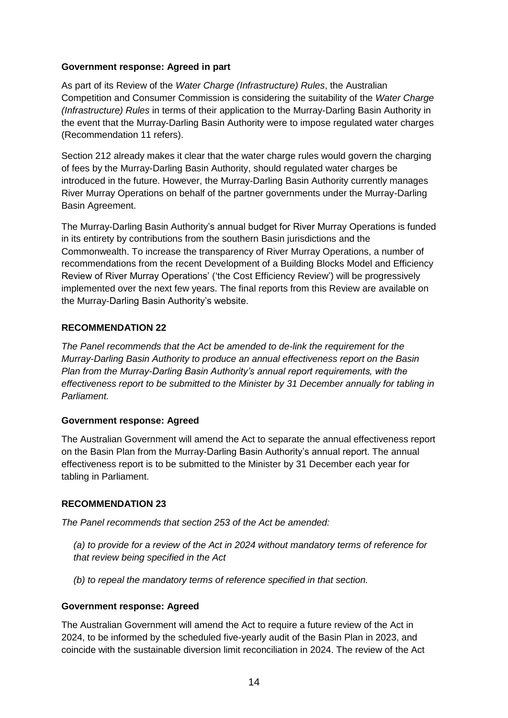## **Government response: Agreed in part**

As part of its Review of the *Water Charge (Infrastructure) Rules*, the Australian Competition and Consumer Commission is considering the suitability of the *Water Charge (Infrastructure) Rules* in terms of their application to the Murray-Darling Basin Authority in the event that the Murray-Darling Basin Authority were to impose regulated water charges (Recommendation 11 refers).

Section 212 already makes it clear that the water charge rules would govern the charging of fees by the Murray-Darling Basin Authority, should regulated water charges be introduced in the future. However, the Murray-Darling Basin Authority currently manages River Murray Operations on behalf of the partner governments under the Murray-Darling Basin Agreement.

The Murray-Darling Basin Authority's annual budget for River Murray Operations is funded in its entirety by contributions from the southern Basin jurisdictions and the Commonwealth. To increase the transparency of River Murray Operations, a number of recommendations from the recent Development of a Building Blocks Model and Efficiency Review of River Murray Operations' ('the Cost Efficiency Review') will be progressively implemented over the next few years. The final reports from this Review are available on the Murray-Darling Basin Authority's website.

## **RECOMMENDATION 22**

*The Panel recommends that the Act be amended to de-link the requirement for the Murray-Darling Basin Authority to produce an annual effectiveness report on the Basin Plan from the Murray-Darling Basin Authority's annual report requirements, with the effectiveness report to be submitted to the Minister by 31 December annually for tabling in Parliament.*

### **Government response: Agreed**

The Australian Government will amend the Act to separate the annual effectiveness report on the Basin Plan from the Murray-Darling Basin Authority's annual report. The annual effectiveness report is to be submitted to the Minister by 31 December each year for tabling in Parliament.

### **RECOMMENDATION 23**

*The Panel recommends that section 253 of the Act be amended:*

*(a) to provide for a review of the Act in 2024 without mandatory terms of reference for that review being specified in the Act*

*(b) to repeal the mandatory terms of reference specified in that section.*

# **Government response: Agreed**

The Australian Government will amend the Act to require a future review of the Act in 2024, to be informed by the scheduled five-yearly audit of the Basin Plan in 2023, and coincide with the sustainable diversion limit reconciliation in 2024. The review of the Act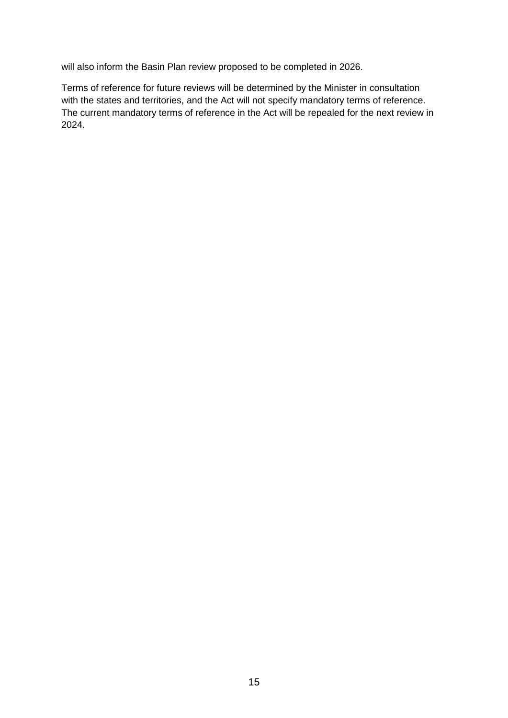will also inform the Basin Plan review proposed to be completed in 2026.

Terms of reference for future reviews will be determined by the Minister in consultation with the states and territories, and the Act will not specify mandatory terms of reference. The current mandatory terms of reference in the Act will be repealed for the next review in 2024.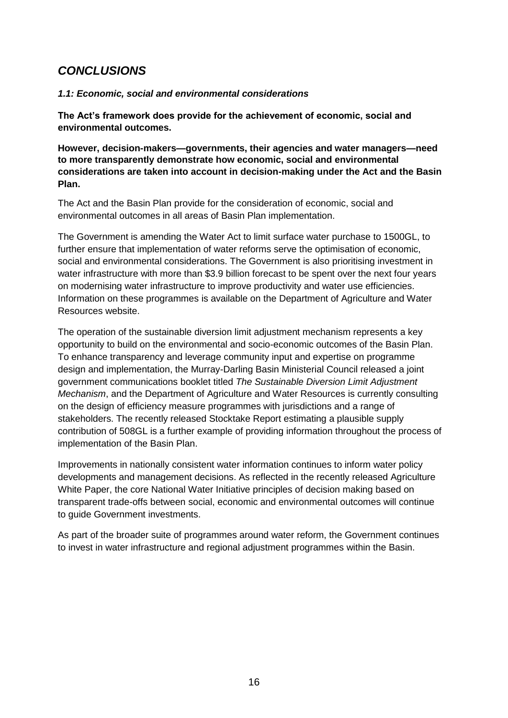# *CONCLUSIONS*

# *1.1: Economic, social and environmental considerations*

**The Act's framework does provide for the achievement of economic, social and environmental outcomes.**

**However, decision-makers—governments, their agencies and water managers—need to more transparently demonstrate how economic, social and environmental considerations are taken into account in decision-making under the Act and the Basin Plan.**

The Act and the Basin Plan provide for the consideration of economic, social and environmental outcomes in all areas of Basin Plan implementation.

The Government is amending the Water Act to limit surface water purchase to 1500GL, to further ensure that implementation of water reforms serve the optimisation of economic, social and environmental considerations. The Government is also prioritising investment in water infrastructure with more than \$3.9 billion forecast to be spent over the next four years on modernising water infrastructure to improve productivity and water use efficiencies. Information on these programmes is available on the Department of Agriculture and Water Resources website.

The operation of the sustainable diversion limit adjustment mechanism represents a key opportunity to build on the environmental and socio-economic outcomes of the Basin Plan. To enhance transparency and leverage community input and expertise on programme design and implementation, the Murray-Darling Basin Ministerial Council released a joint government communications booklet titled *The Sustainable Diversion Limit Adjustment Mechanism*, and the Department of Agriculture and Water Resources is currently consulting on the design of efficiency measure programmes with jurisdictions and a range of stakeholders. The recently released Stocktake Report estimating a plausible supply contribution of 508GL is a further example of providing information throughout the process of implementation of the Basin Plan.

Improvements in nationally consistent water information continues to inform water policy developments and management decisions. As reflected in the recently released Agriculture White Paper, the core National Water Initiative principles of decision making based on transparent trade-offs between social, economic and environmental outcomes will continue to guide Government investments.

As part of the broader suite of programmes around water reform, the Government continues to invest in water infrastructure and regional adjustment programmes within the Basin.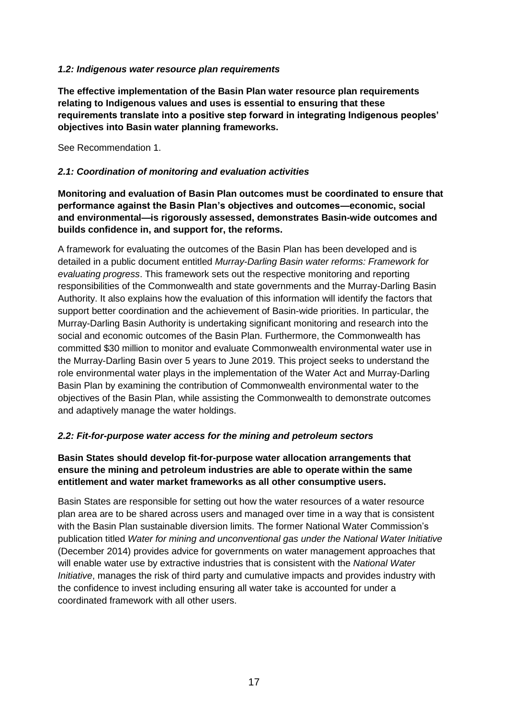## *1.2: Indigenous water resource plan requirements*

**The effective implementation of the Basin Plan water resource plan requirements relating to Indigenous values and uses is essential to ensuring that these requirements translate into a positive step forward in integrating Indigenous peoples' objectives into Basin water planning frameworks.**

See Recommendation 1.

### *2.1: Coordination of monitoring and evaluation activities*

**Monitoring and evaluation of Basin Plan outcomes must be coordinated to ensure that performance against the Basin Plan's objectives and outcomes—economic, social and environmental—is rigorously assessed, demonstrates Basin-wide outcomes and builds confidence in, and support for, the reforms.**

A framework for evaluating the outcomes of the Basin Plan has been developed and is detailed in a public document entitled *Murray-Darling Basin water reforms: Framework for evaluating progress*. This framework sets out the respective monitoring and reporting responsibilities of the Commonwealth and state governments and the Murray-Darling Basin Authority. It also explains how the evaluation of this information will identify the factors that support better coordination and the achievement of Basin-wide priorities. In particular, the Murray-Darling Basin Authority is undertaking significant monitoring and research into the social and economic outcomes of the Basin Plan. Furthermore, the Commonwealth has committed \$30 million to monitor and evaluate Commonwealth environmental water use in the Murray-Darling Basin over 5 years to June 2019. This project seeks to understand the role environmental water plays in the implementation of the Water Act and Murray-Darling Basin Plan by examining the contribution of Commonwealth environmental water to the objectives of the Basin Plan, while assisting the Commonwealth to demonstrate outcomes and adaptively manage the water holdings.

### *2.2: Fit-for-purpose water access for the mining and petroleum sectors*

## **Basin States should develop fit-for-purpose water allocation arrangements that ensure the mining and petroleum industries are able to operate within the same entitlement and water market frameworks as all other consumptive users.**

Basin States are responsible for setting out how the water resources of a water resource plan area are to be shared across users and managed over time in a way that is consistent with the Basin Plan sustainable diversion limits. The former National Water Commission's publication titled *Water for mining and unconventional gas under the National Water Initiative* (December 2014) provides advice for governments on water management approaches that will enable water use by extractive industries that is consistent with the *National Water Initiative*, manages the risk of third party and cumulative impacts and provides industry with the confidence to invest including ensuring all water take is accounted for under a coordinated framework with all other users.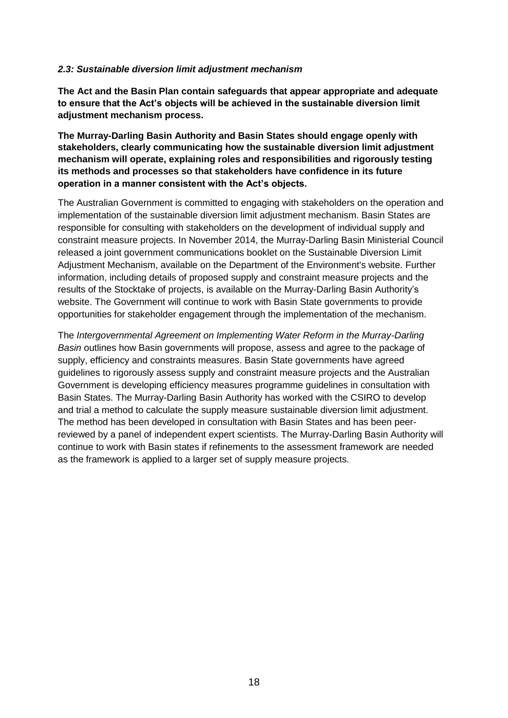### *2.3: Sustainable diversion limit adjustment mechanism*

**The Act and the Basin Plan contain safeguards that appear appropriate and adequate to ensure that the Act's objects will be achieved in the sustainable diversion limit adjustment mechanism process.**

**The Murray-Darling Basin Authority and Basin States should engage openly with stakeholders, clearly communicating how the sustainable diversion limit adjustment mechanism will operate, explaining roles and responsibilities and rigorously testing its methods and processes so that stakeholders have confidence in its future operation in a manner consistent with the Act's objects.**

The Australian Government is committed to engaging with stakeholders on the operation and implementation of the sustainable diversion limit adjustment mechanism. Basin States are responsible for consulting with stakeholders on the development of individual supply and constraint measure projects. In November 2014, the Murray-Darling Basin Ministerial Council released a joint government communications booklet on the Sustainable Diversion Limit Adjustment Mechanism, available on the Department of the Environment's website. Further information, including details of proposed supply and constraint measure projects and the results of the Stocktake of projects, is available on the Murray-Darling Basin Authority's website. The Government will continue to work with Basin State governments to provide opportunities for stakeholder engagement through the implementation of the mechanism.

The *Intergovernmental Agreement on Implementing Water Reform in the Murray-Darling Basin* outlines how Basin governments will propose, assess and agree to the package of supply, efficiency and constraints measures. Basin State governments have agreed guidelines to rigorously assess supply and constraint measure projects and the Australian Government is developing efficiency measures programme guidelines in consultation with Basin States. The Murray-Darling Basin Authority has worked with the CSIRO to develop and trial a method to calculate the supply measure sustainable diversion limit adjustment. The method has been developed in consultation with Basin States and has been peerreviewed by a panel of independent expert scientists. The Murray-Darling Basin Authority will continue to work with Basin states if refinements to the assessment framework are needed as the framework is applied to a larger set of supply measure projects.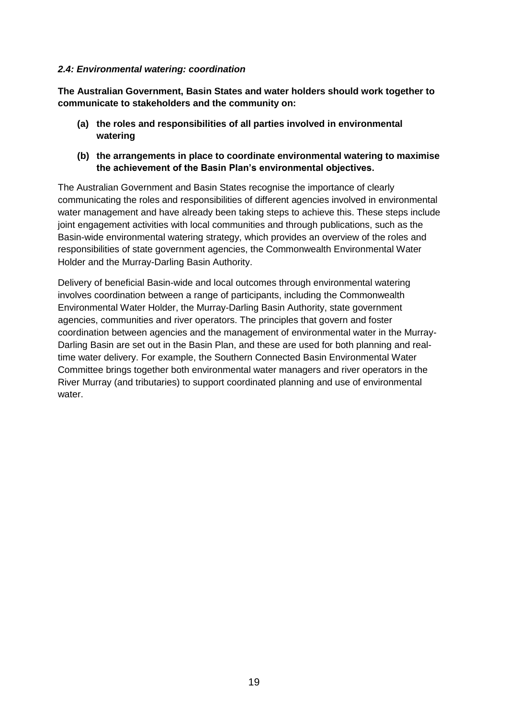### *2.4: Environmental watering: coordination*

**The Australian Government, Basin States and water holders should work together to communicate to stakeholders and the community on:**

- **(a) the roles and responsibilities of all parties involved in environmental watering**
- **(b) the arrangements in place to coordinate environmental watering to maximise the achievement of the Basin Plan's environmental objectives.**

The Australian Government and Basin States recognise the importance of clearly communicating the roles and responsibilities of different agencies involved in environmental water management and have already been taking steps to achieve this. These steps include joint engagement activities with local communities and through publications, such as the Basin-wide environmental watering strategy, which provides an overview of the roles and responsibilities of state government agencies, the Commonwealth Environmental Water Holder and the Murray-Darling Basin Authority.

Delivery of beneficial Basin-wide and local outcomes through environmental watering involves coordination between a range of participants, including the Commonwealth Environmental Water Holder, the Murray-Darling Basin Authority, state government agencies, communities and river operators. The principles that govern and foster coordination between agencies and the management of environmental water in the Murray-Darling Basin are set out in the Basin Plan, and these are used for both planning and realtime water delivery. For example, the Southern Connected Basin Environmental Water Committee brings together both environmental water managers and river operators in the River Murray (and tributaries) to support coordinated planning and use of environmental water.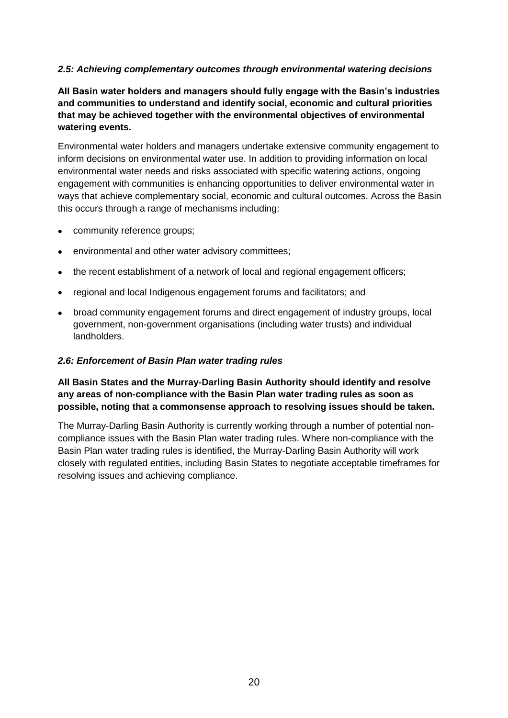# *2.5: Achieving complementary outcomes through environmental watering decisions*

**All Basin water holders and managers should fully engage with the Basin's industries and communities to understand and identify social, economic and cultural priorities that may be achieved together with the environmental objectives of environmental watering events.**

Environmental water holders and managers undertake extensive community engagement to inform decisions on environmental water use. In addition to providing information on local environmental water needs and risks associated with specific watering actions, ongoing engagement with communities is enhancing opportunities to deliver environmental water in ways that achieve complementary social, economic and cultural outcomes. Across the Basin this occurs through a range of mechanisms including:

- community reference groups;
- environmental and other water advisory committees;
- the recent establishment of a network of local and regional engagement officers;
- regional and local Indigenous engagement forums and facilitators; and
- broad community engagement forums and direct engagement of industry groups, local government, non-government organisations (including water trusts) and individual landholders.

#### *2.6: Enforcement of Basin Plan water trading rules*

**All Basin States and the Murray-Darling Basin Authority should identify and resolve any areas of non-compliance with the Basin Plan water trading rules as soon as possible, noting that a commonsense approach to resolving issues should be taken.**

The Murray-Darling Basin Authority is currently working through a number of potential noncompliance issues with the Basin Plan water trading rules. Where non-compliance with the Basin Plan water trading rules is identified, the Murray-Darling Basin Authority will work closely with regulated entities, including Basin States to negotiate acceptable timeframes for resolving issues and achieving compliance.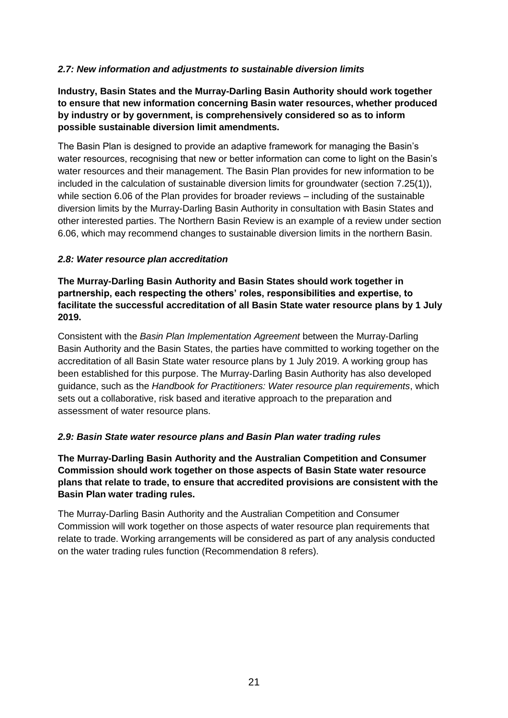# *2.7: New information and adjustments to sustainable diversion limits*

**Industry, Basin States and the Murray-Darling Basin Authority should work together to ensure that new information concerning Basin water resources, whether produced by industry or by government, is comprehensively considered so as to inform possible sustainable diversion limit amendments.**

The Basin Plan is designed to provide an adaptive framework for managing the Basin's water resources, recognising that new or better information can come to light on the Basin's water resources and their management. The Basin Plan provides for new information to be included in the calculation of sustainable diversion limits for groundwater (section 7.25(1)), while section 6.06 of the Plan provides for broader reviews – including of the sustainable diversion limits by the Murray-Darling Basin Authority in consultation with Basin States and other interested parties. The Northern Basin Review is an example of a review under section 6.06, which may recommend changes to sustainable diversion limits in the northern Basin.

## *2.8: Water resource plan accreditation*

**The Murray-Darling Basin Authority and Basin States should work together in partnership, each respecting the others' roles, responsibilities and expertise, to facilitate the successful accreditation of all Basin State water resource plans by 1 July 2019.**

Consistent with the *Basin Plan Implementation Agreement* between the Murray-Darling Basin Authority and the Basin States, the parties have committed to working together on the accreditation of all Basin State water resource plans by 1 July 2019. A working group has been established for this purpose. The Murray-Darling Basin Authority has also developed guidance, such as the *Handbook for Practitioners: Water resource plan requirements*, which sets out a collaborative, risk based and iterative approach to the preparation and assessment of water resource plans.

# *2.9: Basin State water resource plans and Basin Plan water trading rules*

**The Murray-Darling Basin Authority and the Australian Competition and Consumer Commission should work together on those aspects of Basin State water resource plans that relate to trade, to ensure that accredited provisions are consistent with the Basin Plan water trading rules.**

The Murray-Darling Basin Authority and the Australian Competition and Consumer Commission will work together on those aspects of water resource plan requirements that relate to trade. Working arrangements will be considered as part of any analysis conducted on the water trading rules function (Recommendation 8 refers).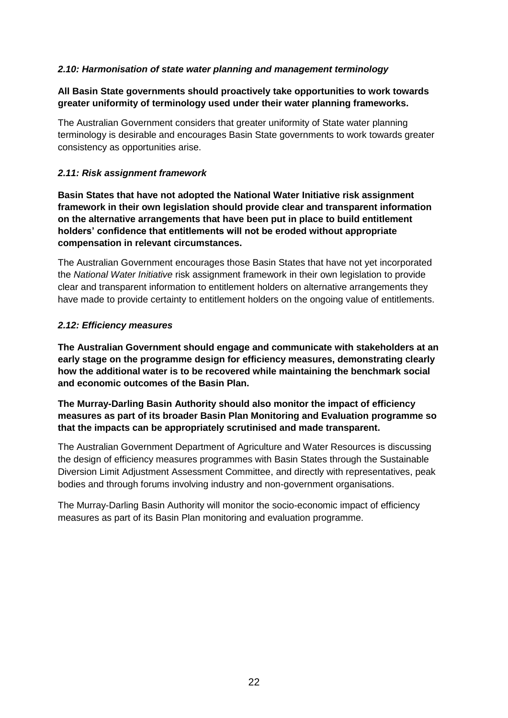# *2.10: Harmonisation of state water planning and management terminology*

## **All Basin State governments should proactively take opportunities to work towards greater uniformity of terminology used under their water planning frameworks.**

The Australian Government considers that greater uniformity of State water planning terminology is desirable and encourages Basin State governments to work towards greater consistency as opportunities arise.

### *2.11: Risk assignment framework*

**Basin States that have not adopted the National Water Initiative risk assignment framework in their own legislation should provide clear and transparent information on the alternative arrangements that have been put in place to build entitlement holders' confidence that entitlements will not be eroded without appropriate compensation in relevant circumstances.**

The Australian Government encourages those Basin States that have not yet incorporated the *National Water Initiative* risk assignment framework in their own legislation to provide clear and transparent information to entitlement holders on alternative arrangements they have made to provide certainty to entitlement holders on the ongoing value of entitlements.

### *2.12: Efficiency measures*

**The Australian Government should engage and communicate with stakeholders at an early stage on the programme design for efficiency measures, demonstrating clearly how the additional water is to be recovered while maintaining the benchmark social and economic outcomes of the Basin Plan.**

**The Murray-Darling Basin Authority should also monitor the impact of efficiency measures as part of its broader Basin Plan Monitoring and Evaluation programme so that the impacts can be appropriately scrutinised and made transparent.**

The Australian Government Department of Agriculture and Water Resources is discussing the design of efficiency measures programmes with Basin States through the Sustainable Diversion Limit Adjustment Assessment Committee, and directly with representatives, peak bodies and through forums involving industry and non-government organisations.

The Murray-Darling Basin Authority will monitor the socio-economic impact of efficiency measures as part of its Basin Plan monitoring and evaluation programme.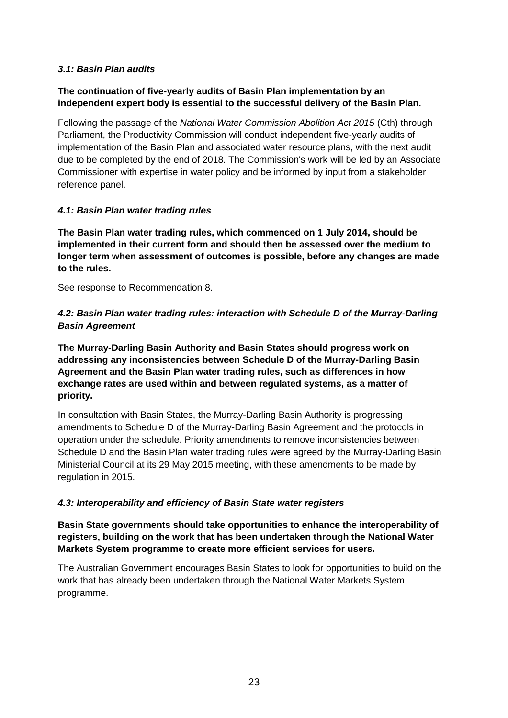## *3.1: Basin Plan audits*

## **The continuation of five-yearly audits of Basin Plan implementation by an independent expert body is essential to the successful delivery of the Basin Plan.**

Following the passage of the *National Water Commission Abolition Act 2015* (Cth) through Parliament, the Productivity Commission will conduct independent five-yearly audits of implementation of the Basin Plan and associated water resource plans, with the next audit due to be completed by the end of 2018. The Commission's work will be led by an Associate Commissioner with expertise in water policy and be informed by input from a stakeholder reference panel.

## *4.1: Basin Plan water trading rules*

**The Basin Plan water trading rules, which commenced on 1 July 2014, should be implemented in their current form and should then be assessed over the medium to longer term when assessment of outcomes is possible, before any changes are made to the rules.**

See response to Recommendation 8.

# *4.2: Basin Plan water trading rules: interaction with Schedule D of the Murray-Darling Basin Agreement*

**The Murray-Darling Basin Authority and Basin States should progress work on addressing any inconsistencies between Schedule D of the Murray-Darling Basin Agreement and the Basin Plan water trading rules, such as differences in how exchange rates are used within and between regulated systems, as a matter of priority.**

In consultation with Basin States, the Murray-Darling Basin Authority is progressing amendments to Schedule D of the Murray-Darling Basin Agreement and the protocols in operation under the schedule. Priority amendments to remove inconsistencies between Schedule D and the Basin Plan water trading rules were agreed by the Murray-Darling Basin Ministerial Council at its 29 May 2015 meeting, with these amendments to be made by regulation in 2015.

# *4.3: Interoperability and efficiency of Basin State water registers*

**Basin State governments should take opportunities to enhance the interoperability of registers, building on the work that has been undertaken through the National Water Markets System programme to create more efficient services for users.**

The Australian Government encourages Basin States to look for opportunities to build on the work that has already been undertaken through the National Water Markets System programme.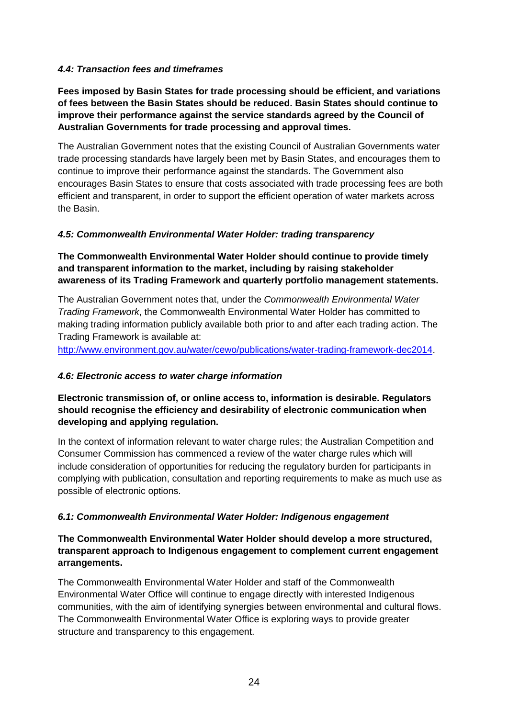# *4.4: Transaction fees and timeframes*

**Fees imposed by Basin States for trade processing should be efficient, and variations of fees between the Basin States should be reduced. Basin States should continue to improve their performance against the service standards agreed by the Council of Australian Governments for trade processing and approval times.**

The Australian Government notes that the existing Council of Australian Governments water trade processing standards have largely been met by Basin States, and encourages them to continue to improve their performance against the standards. The Government also encourages Basin States to ensure that costs associated with trade processing fees are both efficient and transparent, in order to support the efficient operation of water markets across the Basin.

## *4.5: Commonwealth Environmental Water Holder: trading transparency*

### **The Commonwealth Environmental Water Holder should continue to provide timely and transparent information to the market, including by raising stakeholder awareness of its Trading Framework and quarterly portfolio management statements.**

The Australian Government notes that, under the *Commonwealth Environmental Water Trading Framework*, the Commonwealth Environmental Water Holder has committed to making trading information publicly available both prior to and after each trading action. The Trading Framework is available at:

<http://www.environment.gov.au/water/cewo/publications/water-trading-framework-dec2014>.

### *4.6: Electronic access to water charge information*

## **Electronic transmission of, or online access to, information is desirable. Regulators should recognise the efficiency and desirability of electronic communication when developing and applying regulation.**

In the context of information relevant to water charge rules; the Australian Competition and Consumer Commission has commenced a review of the water charge rules which will include consideration of opportunities for reducing the regulatory burden for participants in complying with publication, consultation and reporting requirements to make as much use as possible of electronic options.

### *6.1: Commonwealth Environmental Water Holder: Indigenous engagement*

## **The Commonwealth Environmental Water Holder should develop a more structured, transparent approach to Indigenous engagement to complement current engagement arrangements.**

The Commonwealth Environmental Water Holder and staff of the Commonwealth Environmental Water Office will continue to engage directly with interested Indigenous communities, with the aim of identifying synergies between environmental and cultural flows. The Commonwealth Environmental Water Office is exploring ways to provide greater structure and transparency to this engagement.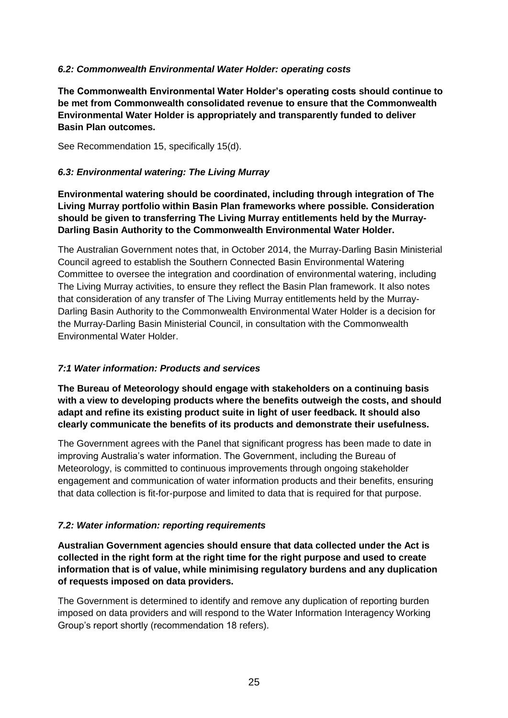# *6.2: Commonwealth Environmental Water Holder: operating costs*

**The Commonwealth Environmental Water Holder's operating costs should continue to be met from Commonwealth consolidated revenue to ensure that the Commonwealth Environmental Water Holder is appropriately and transparently funded to deliver Basin Plan outcomes.**

See Recommendation 15, specifically 15(d).

### *6.3: Environmental watering: The Living Murray*

**Environmental watering should be coordinated, including through integration of The Living Murray portfolio within Basin Plan frameworks where possible. Consideration should be given to transferring The Living Murray entitlements held by the Murray-Darling Basin Authority to the Commonwealth Environmental Water Holder.**

The Australian Government notes that, in October 2014, the Murray-Darling Basin Ministerial Council agreed to establish the Southern Connected Basin Environmental Watering Committee to oversee the integration and coordination of environmental watering, including The Living Murray activities, to ensure they reflect the Basin Plan framework. It also notes that consideration of any transfer of The Living Murray entitlements held by the Murray-Darling Basin Authority to the Commonwealth Environmental Water Holder is a decision for the Murray-Darling Basin Ministerial Council, in consultation with the Commonwealth Environmental Water Holder.

### *7:1 Water information: Products and services*

**The Bureau of Meteorology should engage with stakeholders on a continuing basis with a view to developing products where the benefits outweigh the costs, and should adapt and refine its existing product suite in light of user feedback. It should also clearly communicate the benefits of its products and demonstrate their usefulness.**

The Government agrees with the Panel that significant progress has been made to date in improving Australia's water information. The Government, including the Bureau of Meteorology, is committed to continuous improvements through ongoing stakeholder engagement and communication of water information products and their benefits, ensuring that data collection is fit-for-purpose and limited to data that is required for that purpose.

# *7.2: Water information: reporting requirements*

**Australian Government agencies should ensure that data collected under the Act is collected in the right form at the right time for the right purpose and used to create information that is of value, while minimising regulatory burdens and any duplication of requests imposed on data providers.**

The Government is determined to identify and remove any duplication of reporting burden imposed on data providers and will respond to the Water Information Interagency Working Group's report shortly (recommendation 18 refers).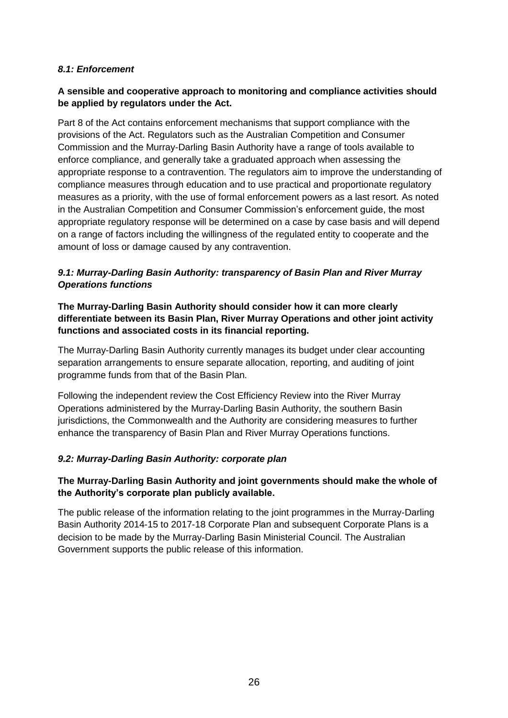## *8.1: Enforcement*

# **A sensible and cooperative approach to monitoring and compliance activities should be applied by regulators under the Act.**

Part 8 of the Act contains enforcement mechanisms that support compliance with the provisions of the Act. Regulators such as the Australian Competition and Consumer Commission and the Murray-Darling Basin Authority have a range of tools available to enforce compliance, and generally take a graduated approach when assessing the appropriate response to a contravention. The regulators aim to improve the understanding of compliance measures through education and to use practical and proportionate regulatory measures as a priority, with the use of formal enforcement powers as a last resort. As noted in the Australian Competition and Consumer Commission's enforcement guide, the most appropriate regulatory response will be determined on a case by case basis and will depend on a range of factors including the willingness of the regulated entity to cooperate and the amount of loss or damage caused by any contravention.

# *9.1: Murray-Darling Basin Authority: transparency of Basin Plan and River Murray Operations functions*

# **The Murray-Darling Basin Authority should consider how it can more clearly differentiate between its Basin Plan, River Murray Operations and other joint activity functions and associated costs in its financial reporting.**

The Murray-Darling Basin Authority currently manages its budget under clear accounting separation arrangements to ensure separate allocation, reporting, and auditing of joint programme funds from that of the Basin Plan.

Following the independent review the Cost Efficiency Review into the River Murray Operations administered by the Murray-Darling Basin Authority, the southern Basin jurisdictions, the Commonwealth and the Authority are considering measures to further enhance the transparency of Basin Plan and River Murray Operations functions.

# *9.2: Murray-Darling Basin Authority: corporate plan*

# **The Murray-Darling Basin Authority and joint governments should make the whole of the Authority's corporate plan publicly available.**

The public release of the information relating to the joint programmes in the Murray-Darling Basin Authority 2014-15 to 2017-18 Corporate Plan and subsequent Corporate Plans is a decision to be made by the Murray-Darling Basin Ministerial Council. The Australian Government supports the public release of this information.